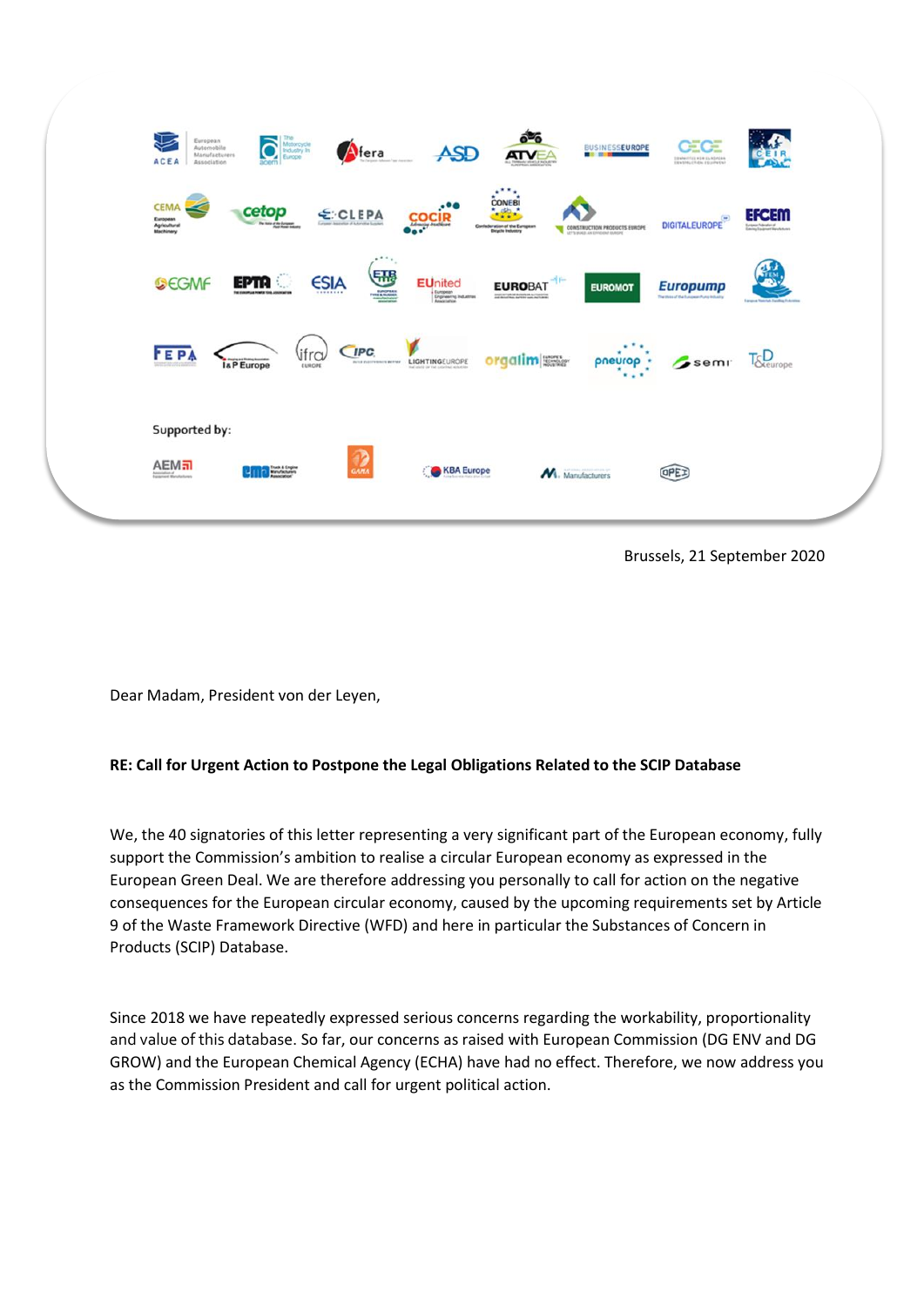

Brussels, 21 September 2020

Dear Madam, President von der Leyen,

## **RE: Call for Urgent Action to Postpone the Legal Obligations Related to the SCIP Database**

We, the 40 signatories of this letter representing a very significant part of the European economy, fully support the Commission's ambition to realise a circular European economy as expressed in the European Green Deal. We are therefore addressing you personally to call for action on the negative consequences for the European circular economy, caused by the upcoming requirements set by Article 9 of the Waste Framework Directive (WFD) and here in particular the Substances of Concern in Products (SCIP) Database.

Since 2018 we have repeatedly expressed serious concerns regarding the workability, proportionality and value of this database. So far, our concerns as raised with European Commission (DG ENV and DG GROW) and the European Chemical Agency (ECHA) have had no effect. Therefore, we now address you as the Commission President and call for urgent political action.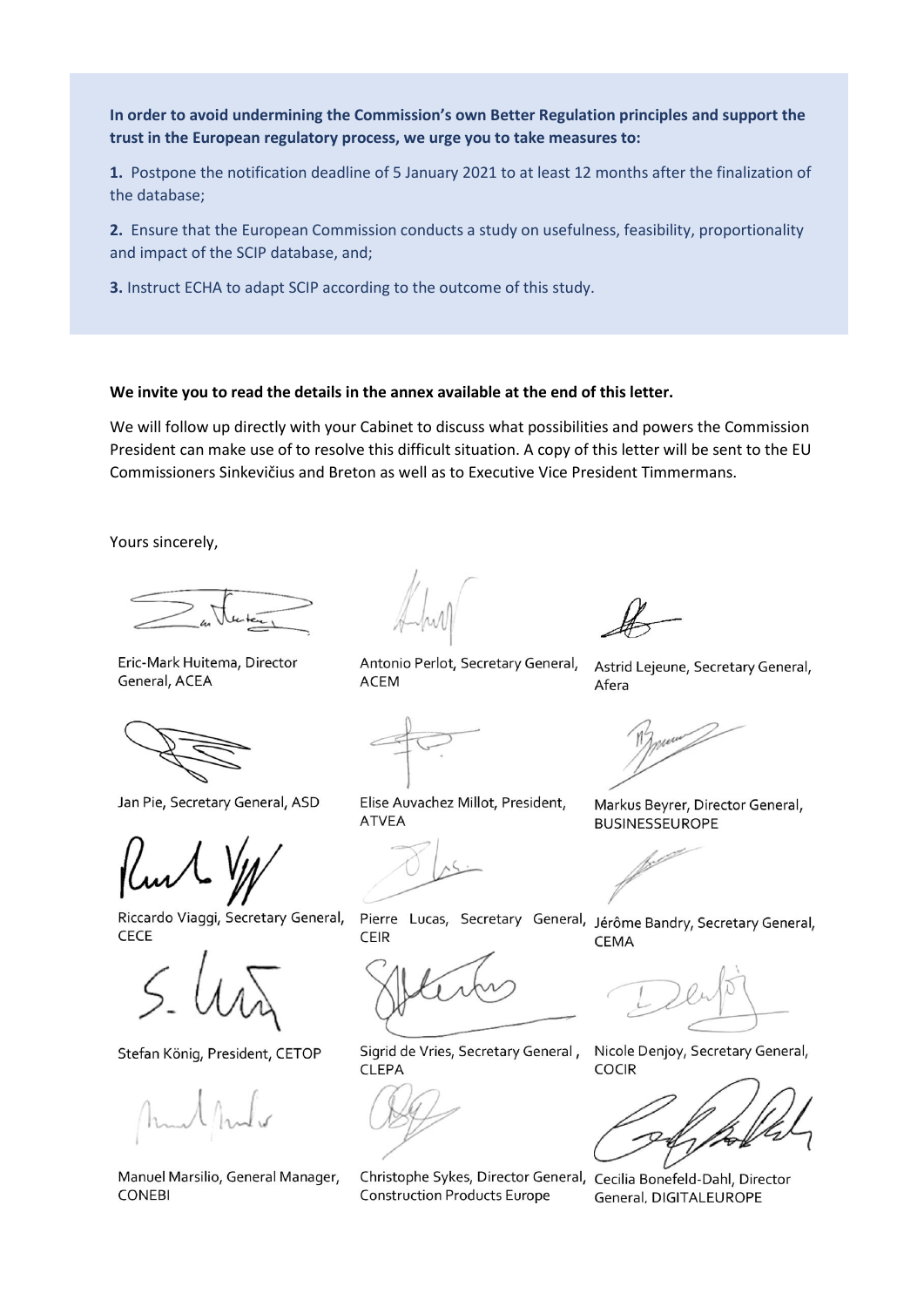In order to avoid undermining the Commission's own Better Regulation principles and support the trust in the European regulatory process, we urge you to take measures to:

1. Postpone the notification deadline of 5 January 2021 to at least 12 months after the finalization of the database;

2. Ensure that the European Commission conducts a study on usefulness, feasibility, proportionality and impact of the SCIP database, and;

3. Instruct ECHA to adapt SCIP according to the outcome of this study.

## We invite you to read the details in the annex available at the end of this letter.

We will follow up directly with your Cabinet to discuss what possibilities and powers the Commission President can make use of to resolve this difficult situation. A copy of this letter will be sent to the EU Commissioners Sinkevičius and Breton as well as to Executive Vice President Timmermans.

Yours sincerely,

Eric-Mark Huitema, Director General, ACEA



Jan Pie, Secretary General, ASD

Riccardo Viaggi, Secretary General, CECE

Stefan König, President, CETOP

Manuel Marsilio, General Manager, **CONEBI** 

Antonio Perlot, Secretary General, **ACEM** 

Astrid Lejeune, Secretary General, Afera



Markus Beyrer, Director General, **BUSINESSEUROPE** 

**ATVEA** 



**CEMA** 

Pierre Lucas, Secretary General, Jérôme Bandry, Secretary General, **CEIR** 

Elise Auvachez Millot, President,

Sigrid de Vries, Secretary General, **CLEPA** 

Christophe Sykes, Director General, Cecilia Bonefeld-Dahl, Director **Construction Products Europe** 

Nicole Denjoy, Secretary General, **COCIR** 

General, DIGITALEUROPE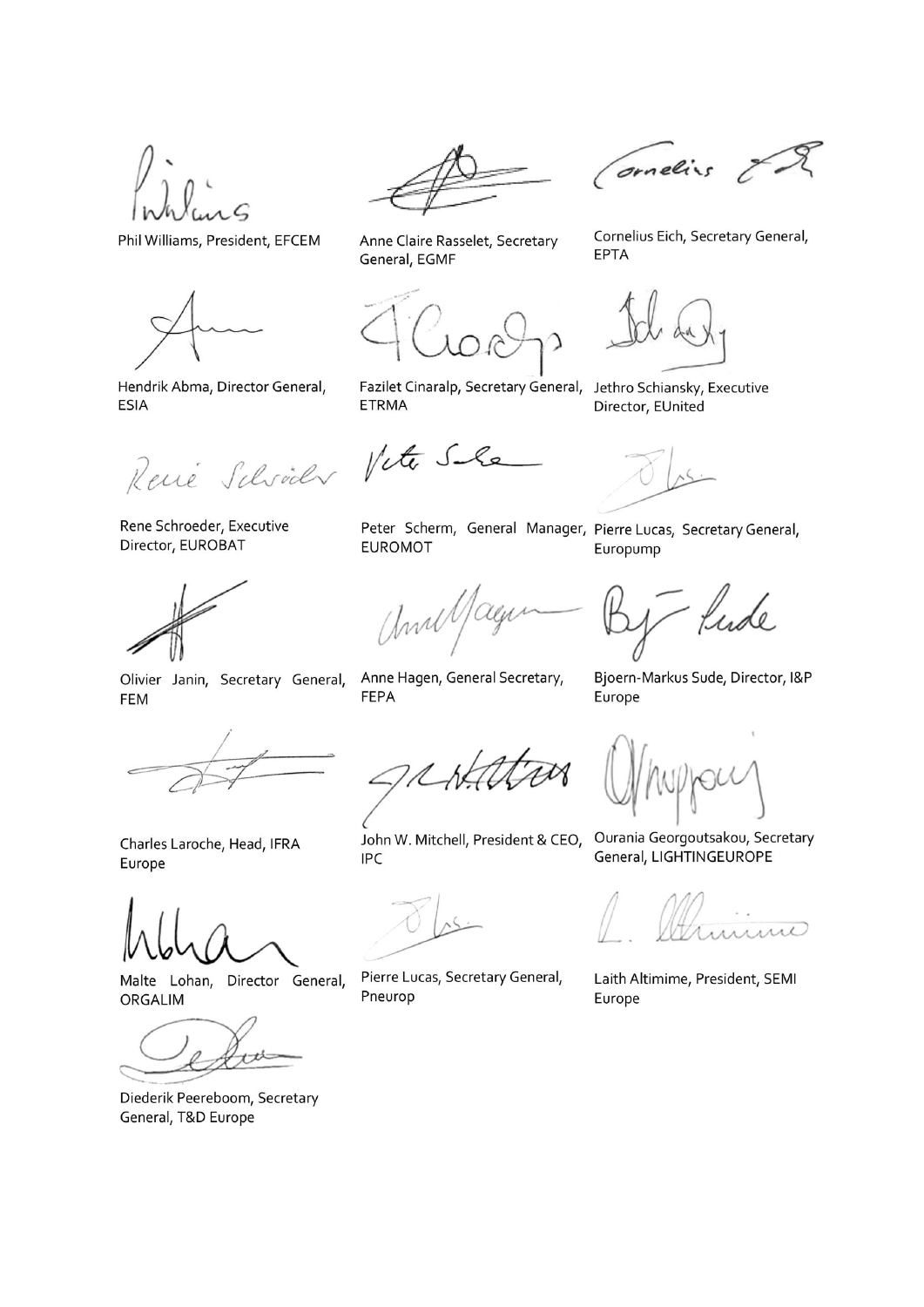Phil Williams, President, EFCEM



Hendrik Abma, Director General, **ESIA** 

René Schröder Vite Sile

Rene Schroeder, Executive Director, EUROBAT



Olivier Janin, Secretary General, **FEM** 



Anne Claire Rasselet, Secretary General, EGMF

Fazilet Cinaralp, Secretary General, Jethro Schiansky, Executive **ETRMA** 

Peter Scherm, General Manager, Pierre Lucas, Secretary General, **EUROMOT** 

and age

Anne Hagen, General Secretary, **FEPA** 

Europump

fude

Bjoern-Markus Sude, Director, I&P Europe

Charles Laroche, Head, IFRA Europe

Malte Lohan, Director General, ORGALIM

tt

Diederik Peereboom, Secretary General, T&D Europe

**IPC** 

Pierre Lucas, Secretary General, Pneurop

John W. Mitchell, President & CEO, Ourania Georgoutsakou, Secretary General, LIGHTINGEUROPE

Laith Altimime, President, SEMI Europe

Cornelius Eich, Secretary General, **EPTA** 

Director, EUnited

Cornelius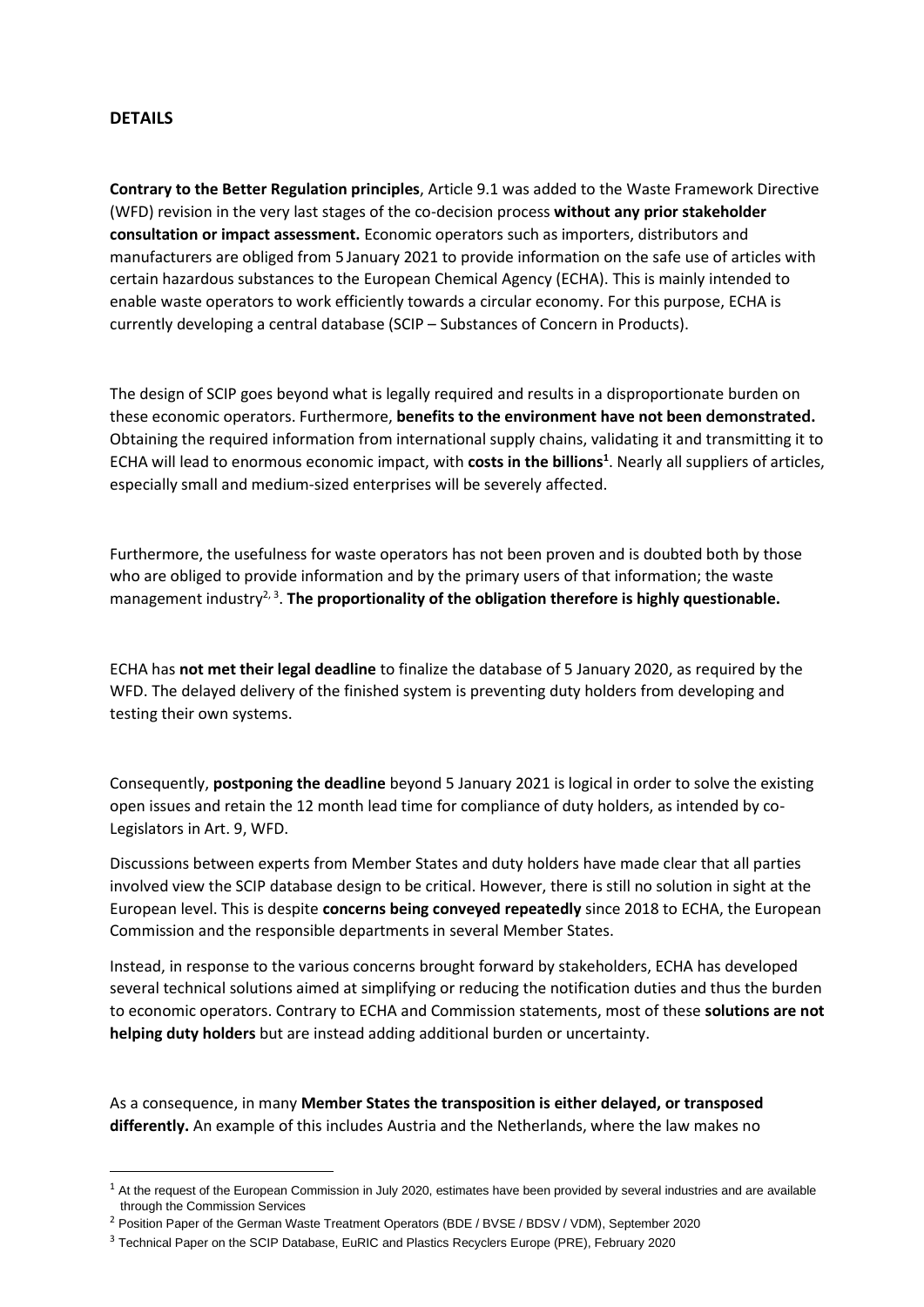## **DETAILS**

**Contrary to the Better Regulation principles**, Article 9.1 was added to the Waste Framework Directive (WFD) revision in the very last stages of the co-decision process **without any prior stakeholder consultation or impact assessment.** Economic operators such as importers, distributors and manufacturers are obliged from 5 January 2021 to provide information on the safe use of articles with certain hazardous substances to the European Chemical Agency (ECHA). This is mainly intended to enable waste operators to work efficiently towards a circular economy. For this purpose, ECHA is currently developing a central database (SCIP – Substances of Concern in Products).

The design of SCIP goes beyond what is legally required and results in a disproportionate burden on these economic operators. Furthermore, **benefits to the environment have not been demonstrated.** Obtaining the required information from international supply chains, validating it and transmitting it to ECHA will lead to enormous economic impact, with **costs in the billions<sup>1</sup>** . Nearly all suppliers of articles, especially small and medium-sized enterprises will be severely affected.

Furthermore, the usefulness for waste operators has not been proven and is doubted both by those who are obliged to provide information and by the primary users of that information; the waste management industry<sup>2, 3</sup>. The proportionality of the obligation therefore is highly questionable.

ECHA has **not met their legal deadline** to finalize the database of 5 January 2020, as required by the WFD. The delayed delivery of the finished system is preventing duty holders from developing and testing their own systems.

Consequently, **postponing the deadline** beyond 5 January 2021 is logical in order to solve the existing open issues and retain the 12 month lead time for compliance of duty holders, as intended by co-Legislators in Art. 9, WFD.

Discussions between experts from Member States and duty holders have made clear that all parties involved view the SCIP database design to be critical. However, there is still no solution in sight at the European level. This is despite **concerns being conveyed repeatedly** since 2018 to ECHA, the European Commission and the responsible departments in several Member States.

Instead, in response to the various concerns brought forward by stakeholders, ECHA has developed several technical solutions aimed at simplifying or reducing the notification duties and thus the burden to economic operators. Contrary to ECHA and Commission statements, most of these **solutions are not helping duty holders** but are instead adding additional burden or uncertainty.

As a consequence, in many **Member States the transposition is either delayed, or transposed differently.** An example of this includes Austria and the Netherlands, where the law makes no

 $1$  At the request of the European Commission in July 2020, estimates have been provided by several industries and are available through the Commission Services

<sup>&</sup>lt;sup>2</sup> Position Paper of the German Waste Treatment Operators (BDE / BVSE / BDSV / VDM), September 2020

<sup>3</sup> Technical Paper on the SCIP Database, EuRIC and Plastics Recyclers Europe (PRE), February 2020